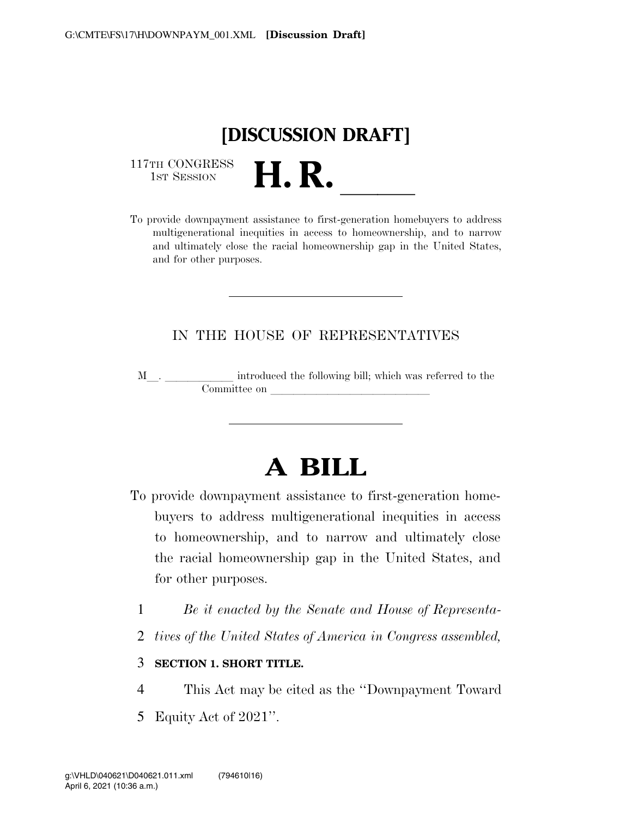

117TH CONGRESS<br>1st Session

117TH CONGRESS<br>1st SESSION **H. R.** <u>International provide</u> downpayment assistance to first-generation homebuyers to address multigenerational inequities in access to homeownership, and to narrow and ultimately close the racial homeownership gap in the United States, and for other purposes.

## IN THE HOUSE OF REPRESENTATIVES

M<sub>\_\_\_</sub>. \_\_\_\_\_\_\_\_\_\_\_\_\_ introduced the following bill; which was referred to the  ${\bf Committee \ on \ \_\_}$ 

# **A BILL**

- To provide downpayment assistance to first-generation homebuyers to address multigenerational inequities in access to homeownership, and to narrow and ultimately close the racial homeownership gap in the United States, and for other purposes.
	- 1 *Be it enacted by the Senate and House of Representa-*
	- 2 *tives of the United States of America in Congress assembled,*

#### 3 **SECTION 1. SHORT TITLE.**

- 4 This Act may be cited as the ''Downpayment Toward
- 5 Equity Act of 2021''.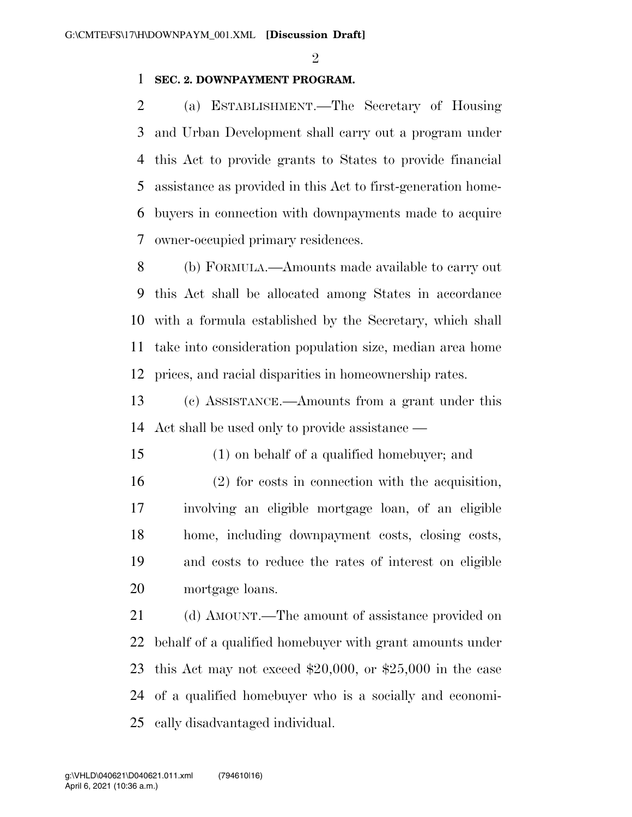$\mathfrak{D}$ 

## **SEC. 2. DOWNPAYMENT PROGRAM.**

 (a) ESTABLISHMENT.—The Secretary of Housing and Urban Development shall carry out a program under this Act to provide grants to States to provide financial assistance as provided in this Act to first-generation home- buyers in connection with downpayments made to acquire owner-occupied primary residences.

 (b) FORMULA.—Amounts made available to carry out this Act shall be allocated among States in accordance with a formula established by the Secretary, which shall take into consideration population size, median area home prices, and racial disparities in homeownership rates.

 (c) ASSISTANCE.—Amounts from a grant under this Act shall be used only to provide assistance —

(1) on behalf of a qualified homebuyer; and

 (2) for costs in connection with the acquisition, involving an eligible mortgage loan, of an eligible home, including downpayment costs, closing costs, and costs to reduce the rates of interest on eligible mortgage loans.

21 (d) AMOUNT.—The amount of assistance provided on behalf of a qualified homebuyer with grant amounts under this Act may not exceed \$20,000, or \$25,000 in the case of a qualified homebuyer who is a socially and economi-cally disadvantaged individual.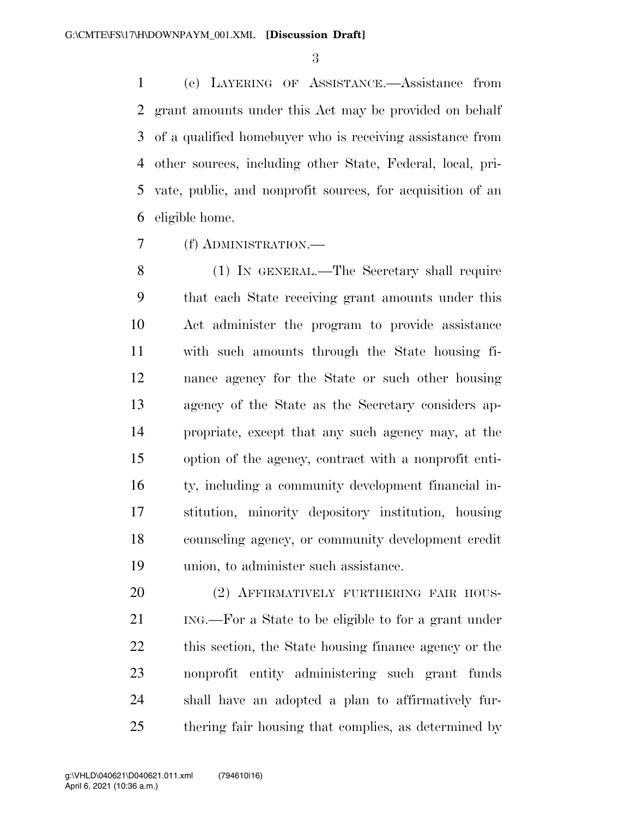(e) LAYERING OF ASSISTANCE.—Assistance from grant amounts under this Act may be provided on behalf of a qualified homebuyer who is receiving assistance from other sources, including other State, Federal, local, pri- vate, public, and nonprofit sources, for acquisition of an eligible home.

(f) ADMINISTRATION.—

 (1) IN GENERAL.—The Secretary shall require that each State receiving grant amounts under this Act administer the program to provide assistance with such amounts through the State housing fi- nance agency for the State or such other housing agency of the State as the Secretary considers ap- propriate, except that any such agency may, at the option of the agency, contract with a nonprofit enti- ty, including a community development financial in- stitution, minority depository institution, housing counseling agency, or community development credit union, to administer such assistance.

20 (2) AFFIRMATIVELY FURTHERING FAIR HOUS- ING.—For a State to be eligible to for a grant under this section, the State housing finance agency or the nonprofit entity administering such grant funds shall have an adopted a plan to affirmatively fur-thering fair housing that complies, as determined by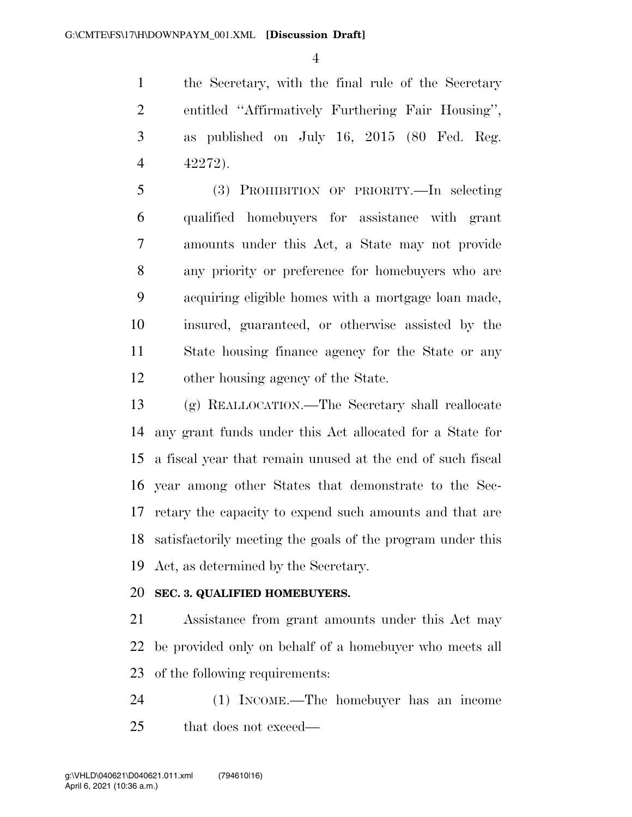the Secretary, with the final rule of the Secretary entitled ''Affirmatively Furthering Fair Housing'', as published on July 16, 2015 (80 Fed. Reg. 42272).

 (3) PROHIBITION OF PRIORITY.—In selecting qualified homebuyers for assistance with grant amounts under this Act, a State may not provide any priority or preference for homebuyers who are acquiring eligible homes with a mortgage loan made, insured, guaranteed, or otherwise assisted by the State housing finance agency for the State or any other housing agency of the State.

 (g) REALLOCATION.—The Secretary shall reallocate any grant funds under this Act allocated for a State for a fiscal year that remain unused at the end of such fiscal year among other States that demonstrate to the Sec- retary the capacity to expend such amounts and that are satisfactorily meeting the goals of the program under this Act, as determined by the Secretary.

## **SEC. 3. QUALIFIED HOMEBUYERS.**

 Assistance from grant amounts under this Act may be provided only on behalf of a homebuyer who meets all of the following requirements:

 (1) INCOME.—The homebuyer has an income that does not exceed—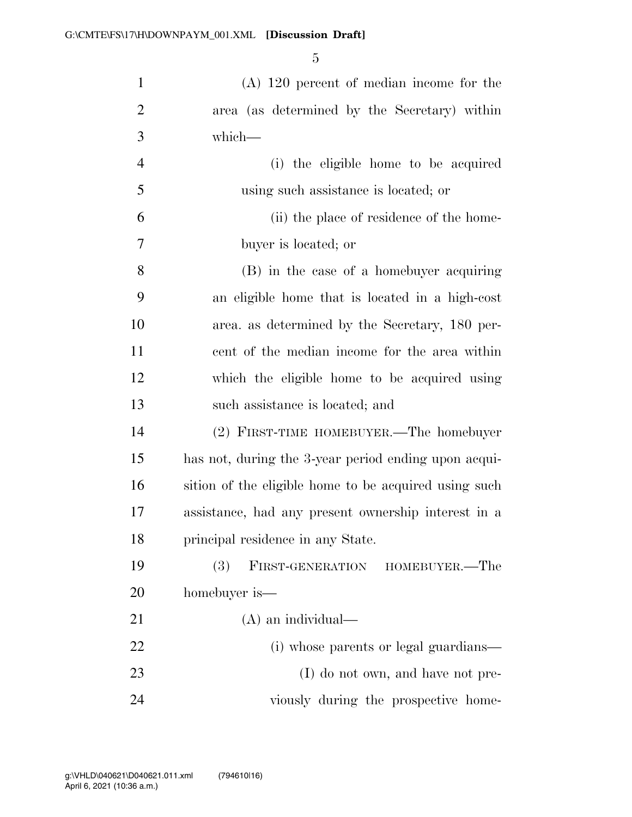(A) 120 percent of median income for the area (as determined by the Secretary) within which— (i) the eligible home to be acquired using such assistance is located; or (ii) the place of residence of the home- buyer is located; or (B) in the case of a homebuyer acquiring an eligible home that is located in a high-cost area. as determined by the Secretary, 180 per- cent of the median income for the area within which the eligible home to be acquired using such assistance is located; and (2) FIRST-TIME HOMEBUYER.—The homebuyer has not, during the 3-year period ending upon acqui-16 sition of the eligible home to be acquired using such assistance, had any present ownership interest in a

 (3) FIRST-GENERATION HOMEBUYER.—The homebuyer is—

principal residence in any State.

 (A) an individual— 22 (i) whose parents or legal guardians— 23 (I) do not own, and have not pre-viously during the prospective home-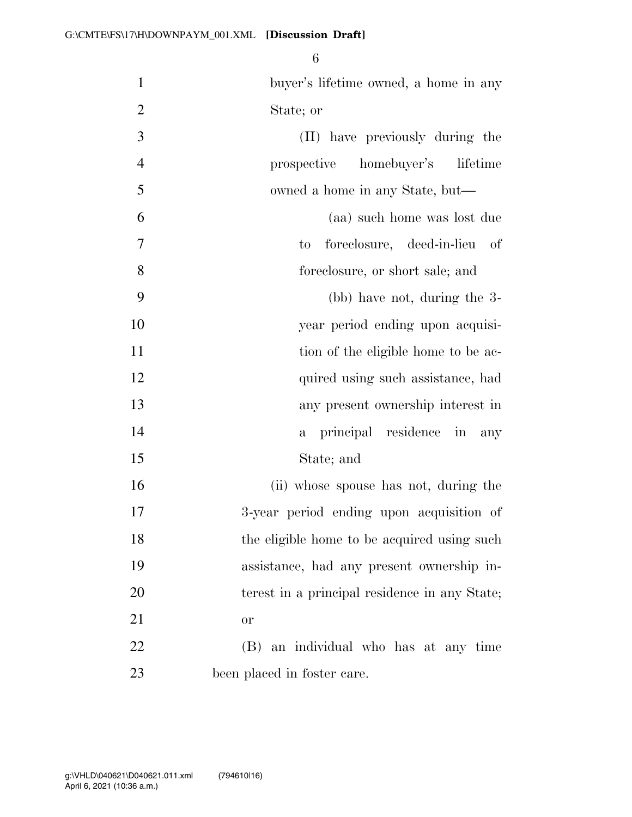| $\mathbf{1}$   | buyer's lifetime owned, a home in any         |
|----------------|-----------------------------------------------|
| $\overline{2}$ | State; or                                     |
| 3              | (II) have previously during the               |
| $\overline{4}$ | prospective homebuyer's<br>lifetime           |
| 5              | owned a home in any State, but—               |
| 6              | (aa) such home was lost due                   |
| $\overline{7}$ | foreclosure, deed-in-lieu of<br>to            |
| 8              | foreclosure, or short sale; and               |
| 9              | (bb) have not, during the 3-                  |
| 10             | year period ending upon acquisi-              |
| 11             | tion of the eligible home to be ac-           |
| 12             | quired using such assistance, had             |
| 13             | any present ownership interest in             |
| 14             | a principal residence in any                  |
| 15             | State; and                                    |
| 16             | (ii) whose spouse has not, during the         |
| 17             | 3-year period ending upon acquisition of      |
| 18             | the eligible home to be acquired using such   |
| 19             | assistance, had any present ownership in-     |
| 20             | terest in a principal residence in any State; |
| 21             | <b>or</b>                                     |
| 22             | (B) an individual who has at any time         |
| 23             | been placed in foster care.                   |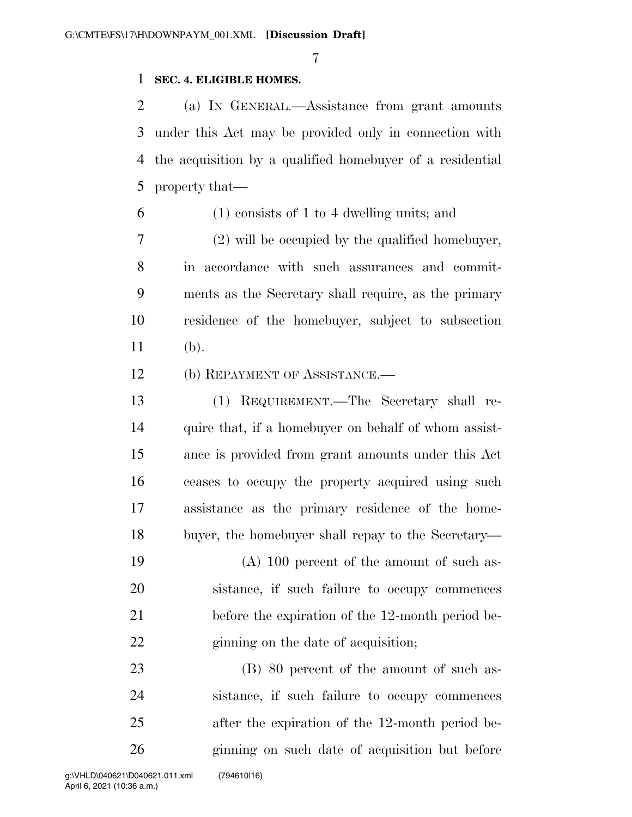### **SEC. 4. ELIGIBLE HOMES.**

 (a) IN GENERAL.—Assistance from grant amounts under this Act may be provided only in connection with the acquisition by a qualified homebuyer of a residential property that—

(1) consists of 1 to 4 dwelling units; and

 (2) will be occupied by the qualified homebuyer, in accordance with such assurances and commit- ments as the Secretary shall require, as the primary residence of the homebuyer, subject to subsection (b).

12 (b) REPAYMENT OF ASSISTANCE.—

 (1) REQUIREMENT.—The Secretary shall re-14 quire that, if a homebuyer on behalf of whom assist- ance is provided from grant amounts under this Act ceases to occupy the property acquired using such assistance as the primary residence of the home-buyer, the homebuyer shall repay to the Secretary—

 (A) 100 percent of the amount of such as- sistance, if such failure to occupy commences before the expiration of the 12-month period be-22 ginning on the date of acquisition;

23 (B) 80 percent of the amount of such as- sistance, if such failure to occupy commences after the expiration of the 12-month period be-ginning on such date of acquisition but before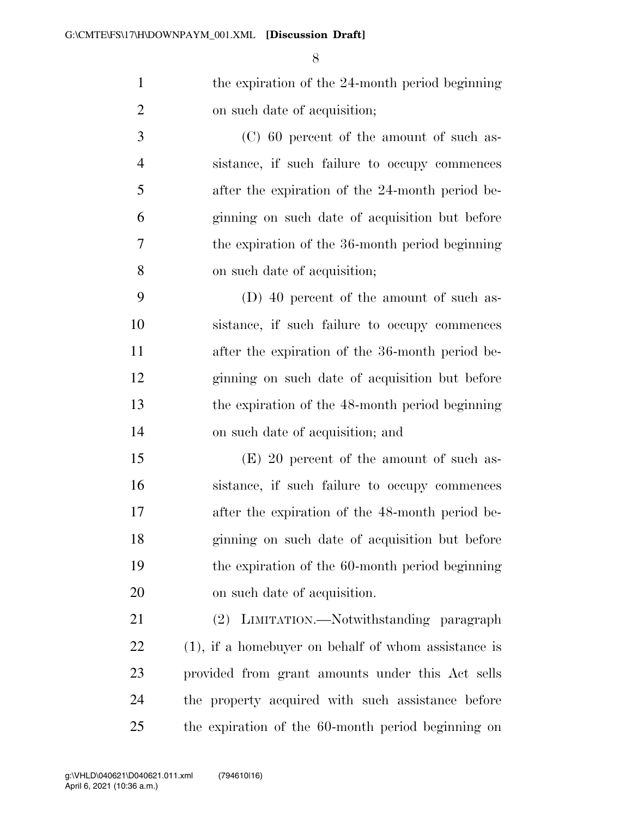1 the expiration of the 24-month period beginning on such date of acquisition;

 (C) 60 percent of the amount of such as- sistance, if such failure to occupy commences after the expiration of the 24-month period be- ginning on such date of acquisition but before the expiration of the 36-month period beginning on such date of acquisition;

 (D) 40 percent of the amount of such as- sistance, if such failure to occupy commences after the expiration of the 36-month period be- ginning on such date of acquisition but before the expiration of the 48-month period beginning on such date of acquisition; and

 (E) 20 percent of the amount of such as- sistance, if such failure to occupy commences after the expiration of the 48-month period be- ginning on such date of acquisition but before the expiration of the 60-month period beginning on such date of acquisition.

 (2) LIMITATION.—Notwithstanding paragraph (1), if a homebuyer on behalf of whom assistance is provided from grant amounts under this Act sells the property acquired with such assistance before the expiration of the 60-month period beginning on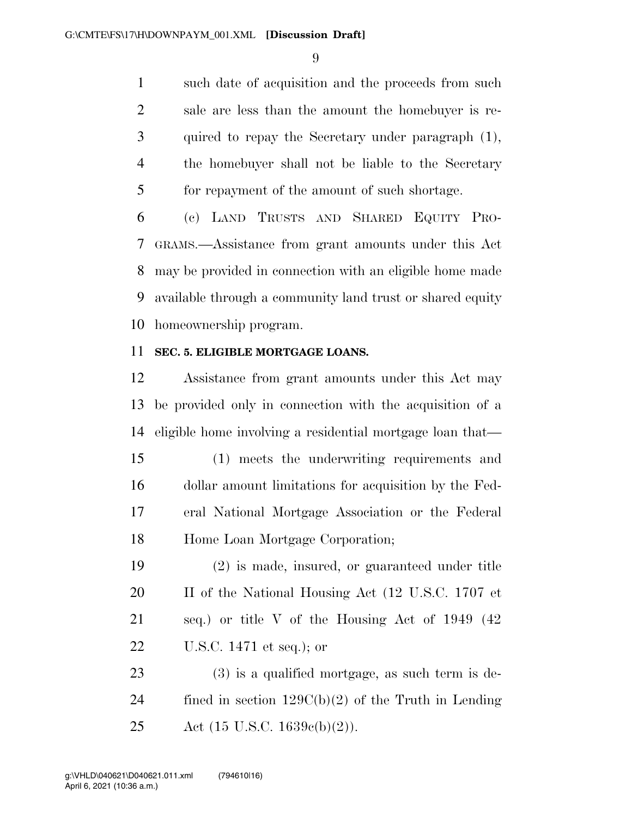such date of acquisition and the proceeds from such sale are less than the amount the homebuyer is re- quired to repay the Secretary under paragraph (1), the homebuyer shall not be liable to the Secretary for repayment of the amount of such shortage.

 (c) LAND TRUSTS AND SHARED EQUITY PRO- GRAMS.—Assistance from grant amounts under this Act may be provided in connection with an eligible home made available through a community land trust or shared equity homeownership program.

### **SEC. 5. ELIGIBLE MORTGAGE LOANS.**

 Assistance from grant amounts under this Act may be provided only in connection with the acquisition of a eligible home involving a residential mortgage loan that—

 (1) meets the underwriting requirements and dollar amount limitations for acquisition by the Fed- eral National Mortgage Association or the Federal Home Loan Mortgage Corporation;

 (2) is made, insured, or guaranteed under title 20 II of the National Housing Act (12 U.S.C. 1707 et seq.) or title V of the Housing Act of 1949 (42 U.S.C. 1471 et seq.); or

 (3) is a qualified mortgage, as such term is de-24 fined in section  $129C(b)(2)$  of the Truth in Lending Act (15 U.S.C. 1639c(b)(2)).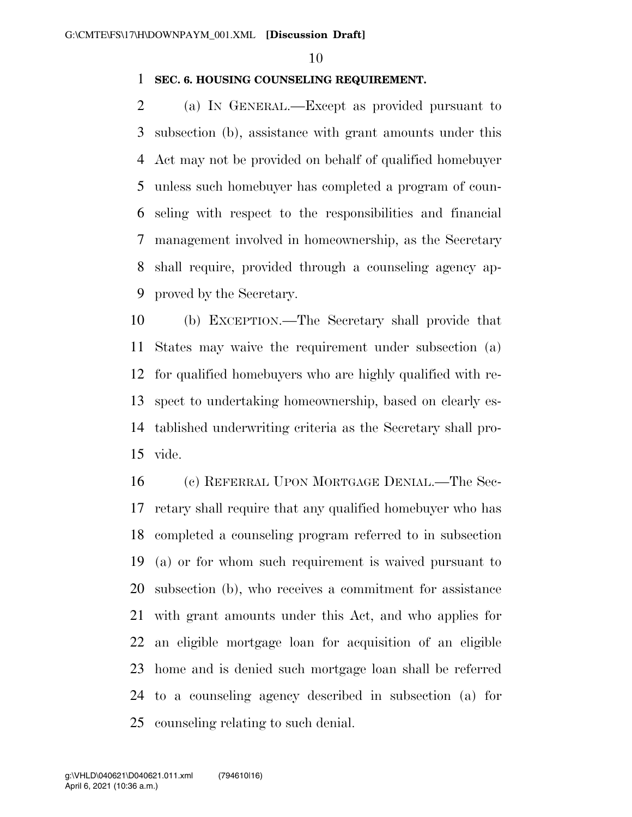#### **SEC. 6. HOUSING COUNSELING REQUIREMENT.**

 (a) IN GENERAL.—Except as provided pursuant to subsection (b), assistance with grant amounts under this Act may not be provided on behalf of qualified homebuyer unless such homebuyer has completed a program of coun- seling with respect to the responsibilities and financial management involved in homeownership, as the Secretary shall require, provided through a counseling agency ap-proved by the Secretary.

 (b) EXCEPTION.—The Secretary shall provide that States may waive the requirement under subsection (a) for qualified homebuyers who are highly qualified with re- spect to undertaking homeownership, based on clearly es- tablished underwriting criteria as the Secretary shall pro-vide.

 (c) REFERRAL UPON MORTGAGE DENIAL.—The Sec- retary shall require that any qualified homebuyer who has completed a counseling program referred to in subsection (a) or for whom such requirement is waived pursuant to subsection (b), who receives a commitment for assistance with grant amounts under this Act, and who applies for an eligible mortgage loan for acquisition of an eligible home and is denied such mortgage loan shall be referred to a counseling agency described in subsection (a) for counseling relating to such denial.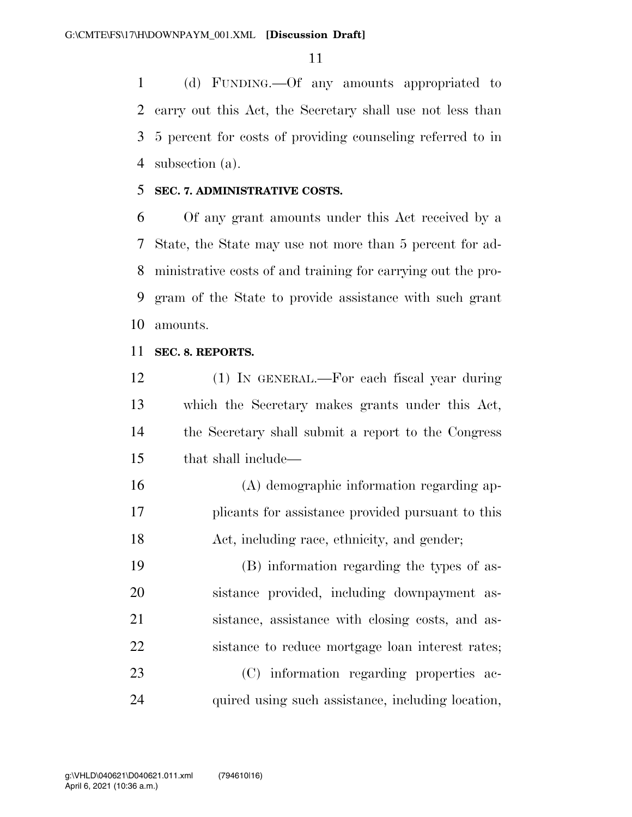(d) FUNDING.—Of any amounts appropriated to carry out this Act, the Secretary shall use not less than 5 percent for costs of providing counseling referred to in subsection (a).

#### **SEC. 7. ADMINISTRATIVE COSTS.**

 Of any grant amounts under this Act received by a State, the State may use not more than 5 percent for ad- ministrative costs of and training for carrying out the pro- gram of the State to provide assistance with such grant amounts.

#### **SEC. 8. REPORTS.**

 (1) IN GENERAL.—For each fiscal year during which the Secretary makes grants under this Act, the Secretary shall submit a report to the Congress that shall include—

 (A) demographic information regarding ap- plicants for assistance provided pursuant to this Act, including race, ethnicity, and gender;

 (B) information regarding the types of as- sistance provided, including downpayment as- sistance, assistance with closing costs, and as- sistance to reduce mortgage loan interest rates; (C) information regarding properties ac-quired using such assistance, including location,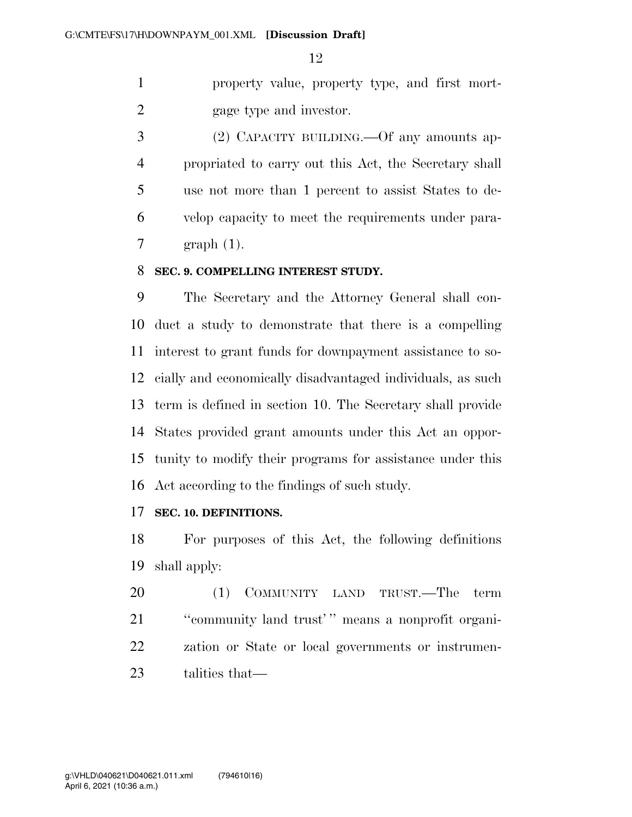property value, property type, and first mort-gage type and investor.

 (2) CAPACITY BUILDING.—Of any amounts ap- propriated to carry out this Act, the Secretary shall use not more than 1 percent to assist States to de- velop capacity to meet the requirements under para-graph (1).

#### **SEC. 9. COMPELLING INTEREST STUDY.**

 The Secretary and the Attorney General shall con- duct a study to demonstrate that there is a compelling interest to grant funds for downpayment assistance to so- cially and economically disadvantaged individuals, as such term is defined in section 10. The Secretary shall provide States provided grant amounts under this Act an oppor- tunity to modify their programs for assistance under this Act according to the findings of such study.

## **SEC. 10. DEFINITIONS.**

 For purposes of this Act, the following definitions shall apply:

 (1) COMMUNITY LAND TRUST.—The term ''community land trust' '' means a nonprofit organi- zation or State or local governments or instrumen-talities that—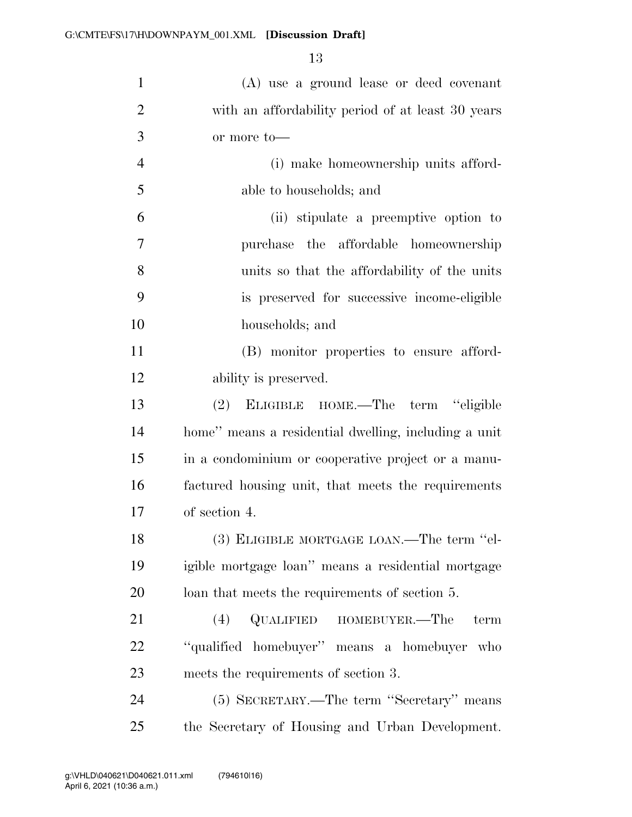| $\mathbf{1}$   | (A) use a ground lease or deed covenant              |
|----------------|------------------------------------------------------|
| $\overline{2}$ | with an affordability period of at least 30 years    |
| 3              | or more to-                                          |
| $\overline{4}$ | (i) make homeownership units afford-                 |
| 5              | able to households; and                              |
| 6              | (ii) stipulate a preemptive option to                |
| 7              | the affordable homeownership<br>purchase             |
| 8              | units so that the affordability of the units         |
| 9              | is preserved for successive income-eligible          |
| 10             | households; and                                      |
| 11             | (B) monitor properties to ensure afford-             |
| 12             | ability is preserved.                                |
| 13             | ELIGIBLE HOME.—The term "eligible<br>(2)             |
| 14             | home" means a residential dwelling, including a unit |
| 15             | in a condominium or cooperative project or a manu-   |
| 16             | factured housing unit, that meets the requirements   |
| 17             | of section 4.                                        |
| 18             | (3) ELIGIBLE MORTGAGE LOAN.—The term "el-            |
| 19             | igible mortgage loan" means a residential mortgage   |
| 20             | loan that meets the requirements of section 5.       |
| 21             | QUALIFIED<br>HOMEBUYER.-The<br>(4)<br>term           |
| 22             | "qualified homebuyer" means a homebuyer who          |
| 23             | meets the requirements of section 3.                 |
| 24             | (5) SECRETARY.—The term "Secretary" means            |
| 25             | the Secretary of Housing and Urban Development.      |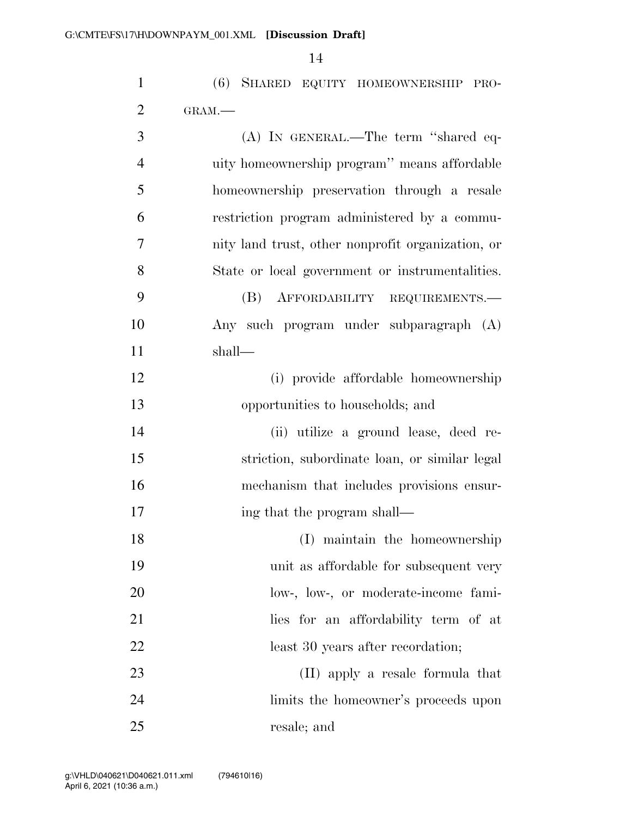| $\mathbf{1}$   | (6) SHARED EQUITY HOMEOWNERSHIP PRO-              |
|----------------|---------------------------------------------------|
| $\overline{2}$ | GRAM.-                                            |
| 3              | (A) IN GENERAL.—The term "shared eq-              |
| $\overline{4}$ | uity homeownership program" means affordable      |
| 5              | homeownership preservation through a resale       |
| 6              | restriction program administered by a commu-      |
| 7              | nity land trust, other nonprofit organization, or |
| 8              | State or local government or instrumentalities.   |
| 9              | (B)<br>AFFORDABILITY REQUIREMENTS.                |
| 10             | Any such program under subparagraph (A)           |
| 11             | shall—                                            |
| 12             | (i) provide affordable homeownership              |
| 13             | opportunities to households; and                  |
| 14             | (ii) utilize a ground lease, deed re-             |
| 15             | striction, subordinate loan, or similar legal     |
| 16             | mechanism that includes provisions ensur-         |
| 17             | ing that the program shall—                       |
| 18             | (I) maintain the homeownership                    |
| 19             | unit as affordable for subsequent very            |
| 20             | low-, low-, or moderate-income fami-              |
| 21             | lies for an affordability term of at              |
| 22             | least 30 years after recordation;                 |
| 23             | (II) apply a resale formula that                  |
| 24             | limits the homeowner's proceeds upon              |
| 25             | resale; and                                       |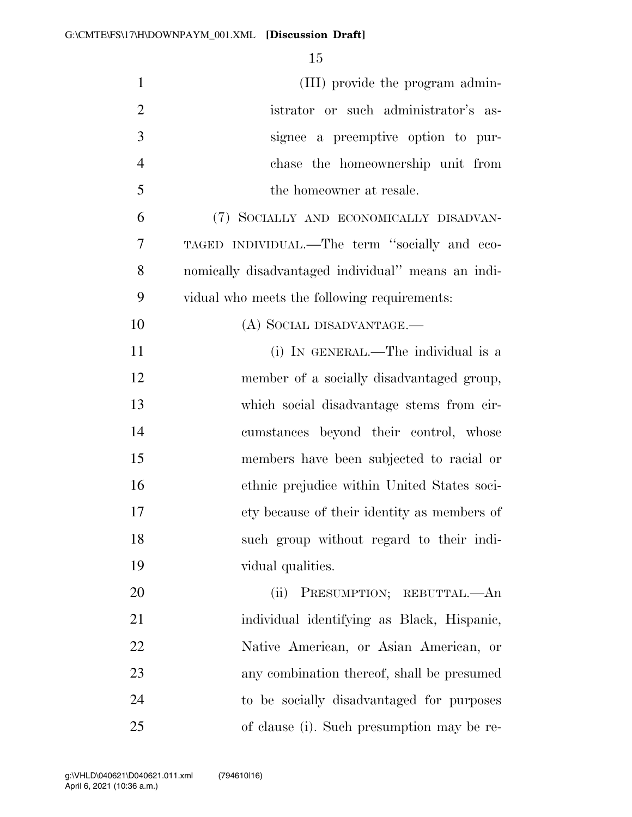| $\mathbf{1}$   | (III) provide the program admin-                   |
|----------------|----------------------------------------------------|
| $\overline{2}$ | istrator or such administrator's as-               |
| 3              | signee a preemptive option to pur-                 |
| $\overline{4}$ | chase the homeownership unit from                  |
| 5              | the homeowner at resale.                           |
| 6              | (7) SOCIALLY AND ECONOMICALLY DISADVAN-            |
| 7              | TAGED INDIVIDUAL.—The term "socially and eco-      |
| 8              | nomically disadvantaged individual" means an indi- |
| 9              | vidual who meets the following requirements:       |
| 10             | (A) SOCIAL DISADVANTAGE.—                          |
| 11             | (i) IN GENERAL.—The individual is a                |
| 12             | member of a socially disadvantaged group,          |
| 13             | which social disadvantage stems from cir-          |
| 14             | cumstances beyond their control, whose             |
| 15             | members have been subjected to racial or           |
| 16             | ethnic prejudice within United States soci-        |
| 17             | ety because of their identity as members of        |
| 18             | such group without regard to their indi-           |
| 19             | vidual qualities.                                  |
| 20             | (ii) PRESUMPTION; REBUTTAL.—An                     |
| 21             | individual identifying as Black, Hispanic,         |
| 22             | Native American, or Asian American, or             |
| 23             | any combination thereof, shall be presumed         |
| 24             | to be socially disadvantaged for purposes          |
| 25             | of clause (i). Such presumption may be re-         |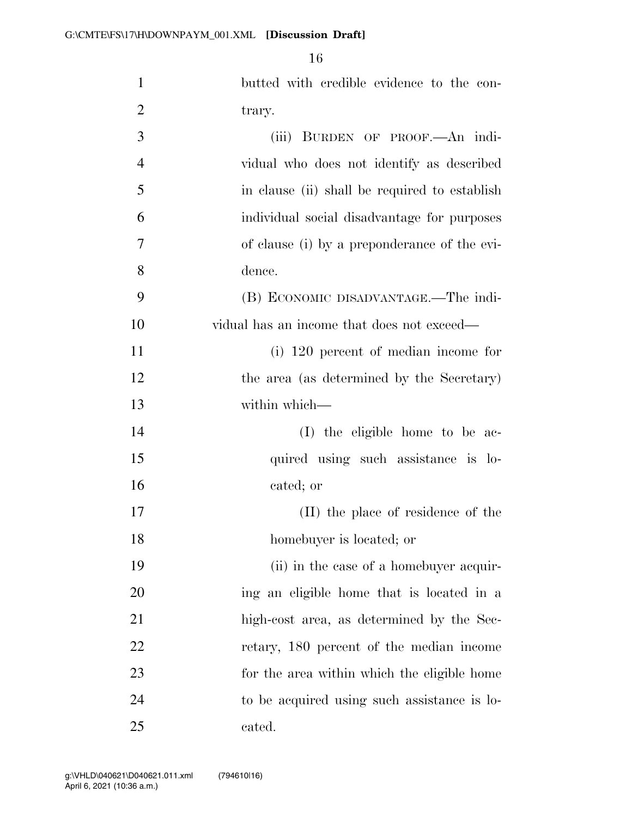| 1              | butted with credible evidence to the con-     |
|----------------|-----------------------------------------------|
| $\overline{2}$ | trary.                                        |
| 3              | (iii) BURDEN OF PROOF. An indi-               |
| $\overline{4}$ | vidual who does not identify as described     |
| 5              | in clause (ii) shall be required to establish |
| 6              | individual social disadvantage for purposes   |
| 7              | of clause (i) by a preponderance of the evi-  |
| 8              | dence.                                        |
| 9              | (B) ECONOMIC DISADVANTAGE.—The indi-          |
| 10             | vidual has an income that does not exceed—    |
| 11             | (i) 120 percent of median income for          |
| 12             | the area (as determined by the Secretary)     |
| 13             | within which-                                 |
| 14             | (I) the eligible home to be ac-               |
| 15             | quired using such assistance is lo-           |
| 16             | cated; or                                     |
| 17             | (II) the place of residence of the            |
| 18             | homebuyer is located; or                      |
| 19             | (ii) in the case of a homebuyer acquir-       |
| 20             | ing an eligible home that is located in a     |
| 21             | high-cost area, as determined by the Sec-     |
| 22             | retary, 180 percent of the median income      |
| 23             | for the area within which the eligible home   |
| 24             | to be acquired using such assistance is lo-   |
| 25             | cated.                                        |